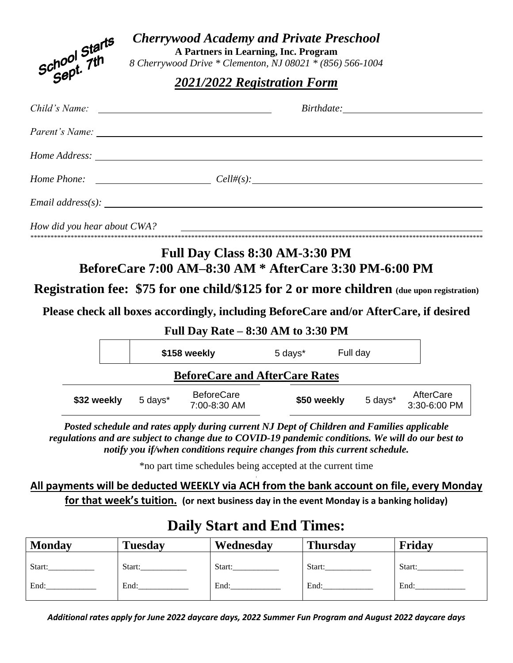| School Starts<br>Sept. 7th                                                                       |                             | <b>Cherrywood Academy and Private Preschool</b><br>A Partners in Learning, Inc. Program<br>8 Cherrywood Drive * Clementon, NJ 08021 * (856) 566-1004                                                                                                                         |         |             |          |                           |  |  |
|--------------------------------------------------------------------------------------------------|-----------------------------|------------------------------------------------------------------------------------------------------------------------------------------------------------------------------------------------------------------------------------------------------------------------------|---------|-------------|----------|---------------------------|--|--|
|                                                                                                  | 2021/2022 Registration Form |                                                                                                                                                                                                                                                                              |         |             |          |                           |  |  |
| Child's Name:                                                                                    |                             | <u> 1989 - Johann Stein, mars and de Britain and de Britain and de Britain and de Britain and de Britain and de B</u>                                                                                                                                                        |         |             |          |                           |  |  |
|                                                                                                  |                             |                                                                                                                                                                                                                                                                              |         |             |          |                           |  |  |
|                                                                                                  |                             |                                                                                                                                                                                                                                                                              |         |             |          |                           |  |  |
| Home Phone: $\qquad \qquad \qquad \text{Cell#}(s):$                                              |                             |                                                                                                                                                                                                                                                                              |         |             |          |                           |  |  |
|                                                                                                  |                             |                                                                                                                                                                                                                                                                              |         |             |          |                           |  |  |
| How did you hear about CWA?                                                                      |                             | <u> 2000 - Jan Alexandria (h. 18</u>                                                                                                                                                                                                                                         |         |             |          |                           |  |  |
| <b>Registration fee: \$75 for one child/\$125 for 2 or more children</b> (due upon registration) |                             | Full Day Class 8:30 AM-3:30 PM<br>BeforeCare 7:00 AM-8:30 AM * AfterCare 3:30 PM-6:00 PM                                                                                                                                                                                     |         |             |          |                           |  |  |
|                                                                                                  |                             | Please check all boxes accordingly, including BeforeCare and/or AfterCare, if desired<br>Full Day Rate $-8:30$ AM to 3:30 PM                                                                                                                                                 |         |             |          |                           |  |  |
|                                                                                                  |                             | \$158 weekly                                                                                                                                                                                                                                                                 | 5 days* |             | Full day |                           |  |  |
|                                                                                                  |                             | <b>BeforeCare and AfterCare Rates</b>                                                                                                                                                                                                                                        |         |             |          |                           |  |  |
| \$32 weekly                                                                                      | 5 days*                     | <b>BeforeCare</b><br>7:00-8:30 AM                                                                                                                                                                                                                                            |         | \$50 weekly | 5 days*  | AfterCare<br>3:30-6:00 PM |  |  |
|                                                                                                  |                             | Posted schedule and rates apply during current NJ Dept of Children and Families applicable<br>regulations and are subject to change due to COVID-19 pandemic conditions. We will do our best to<br>notify you if/when conditions require changes from this current schedule. |         |             |          |                           |  |  |
|                                                                                                  |                             | *no part time schedules being accepted at the current time                                                                                                                                                                                                                   |         |             |          |                           |  |  |

### **All payments will be deducted WEEKLY via ACH from the bank account on file, every Monday for that week's tuition. (or next business day in the event Monday is a banking holiday)**

# **Daily Start and End Times:**

| <b>Monday</b> | <b>Tuesday</b> | Wednesday | <b>Thursday</b> | Friday |
|---------------|----------------|-----------|-----------------|--------|
| Start:        | Start:         | Start:    | Start:          | Start: |
| End:          | End:           | End:      | End:            | End:   |

*Additional rates apply for June 2022 daycare days, 2022 Summer Fun Program and August 2022 daycare days*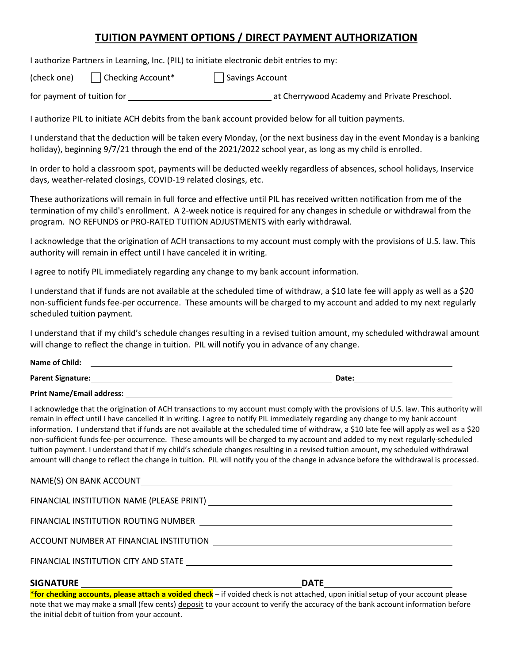### **TUITION PAYMENT OPTIONS / DIRECT PAYMENT AUTHORIZATION**

I authorize Partners in Learning, Inc. (PIL) to initiate electronic debit entries to my:

(check one) Checking Account\* Savings Account

for payment of tuition for at Cherrywood Academy and Private Preschool.

I authorize PIL to initiate ACH debits from the bank account provided below for all tuition payments.

I understand that the deduction will be taken every Monday, (or the next business day in the event Monday is a banking holiday), beginning 9/7/21 through the end of the 2021/2022 school year, as long as my child is enrolled.

In order to hold a classroom spot, payments will be deducted weekly regardless of absences, school holidays, Inservice days, weather-related closings, COVID-19 related closings, etc.

These authorizations will remain in full force and effective until PIL has received written notification from me of the termination of my child's enrollment. A 2-week notice is required for any changes in schedule or withdrawal from the program. NO REFUNDS or PRO-RATED TUITION ADJUSTMENTS with early withdrawal.

I acknowledge that the origination of ACH transactions to my account must comply with the provisions of U.S. law. This authority will remain in effect until I have canceled it in writing.

I agree to notify PIL immediately regarding any change to my bank account information.

I understand that if funds are not available at the scheduled time of withdraw, a \$10 late fee will apply as well as a \$20 non-sufficient funds fee-per occurrence. These amounts will be charged to my account and added to my next regularly scheduled tuition payment.

I understand that if my child's schedule changes resulting in a revised tuition amount, my scheduled withdrawal amount will change to reflect the change in tuition. PIL will notify you in advance of any change.

| Name of Child:    |             |
|-------------------|-------------|
| Parent Signature: | <b>Date</b> |

**Print Name/Email address:** 

I acknowledge that the origination of ACH transactions to my account must comply with the provisions of U.S. law. This authority will remain in effect until I have cancelled it in writing. I agree to notify PIL immediately regarding any change to my bank account information. I understand that if funds are not available at the scheduled time of withdraw, a \$10 late fee will apply as well as a \$20 non-sufficient funds fee-per occurrence. These amounts will be charged to my account and added to my next regularly-scheduled tuition payment. I understand that if my child's schedule changes resulting in a revised tuition amount, my scheduled withdrawal amount will change to reflect the change in tuition. PIL will notify you of the change in advance before the withdrawal is processed.

NAME(S) ON BANK ACCOUNT FINANCIAL INSTITUTION NAME (PLEASE PRINT) FINANCIAL INSTITUTION ROUTING NUMBER ACCOUNT NUMBER AT FINANCIAL INSTITUTION **Fig. 1.1 ACCOUNT NUMBER AT FINANCIAL INSTITUTION** FINANCIAL INSTITUTION CITY AND STATE

#### SIGNATURE **DATE**

**\*for checking accounts, please attach a voided check** – if voided check is not attached, upon initial setup of your account please note that we may make a small (few cents) deposit to your account to verify the accuracy of the bank account information before the initial debit of tuition from your account.